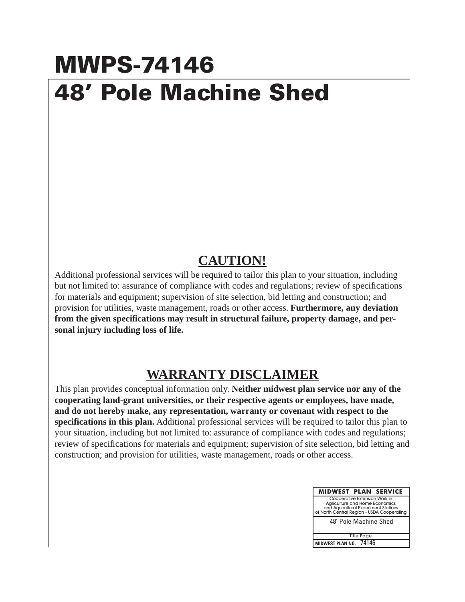## **MWPS-74146 48' Pole Machine Shed**

## **CAUTION!**

Additional professional services will be required to tailor this plan to your situation, including but not limited to: assurance of compliance with codes and regulations; review of specifications for materials and equipment; supervision of site selection, bid letting and construction; and provision for utilities, waste management, roads or other access. **Furthermore, any deviation from the given specifications may result in structural failure, property damage, and personal injury including loss of life.**

## **WARRANTY DISCLAIMER**

This plan provides conceptual information only. **Neither midwest plan service nor any of the cooperating land-grant universities, or their respective agents or employees, have made, and do not hereby make, any representation, warranty or covenant with respect to the specifications in this plan.** Additional professional services will be required to tailor this plan to your situation, including but not limited to: assurance of compliance with codes and regulations; review of specifications for materials and equipment; supervision of site selection, bid letting and construction; and provision for utilities, waste management, roads or other access.

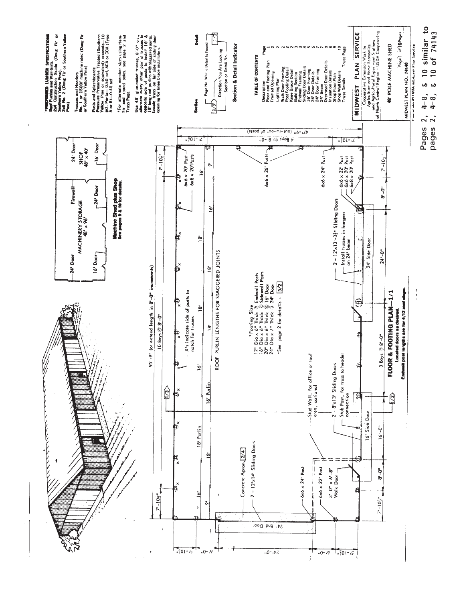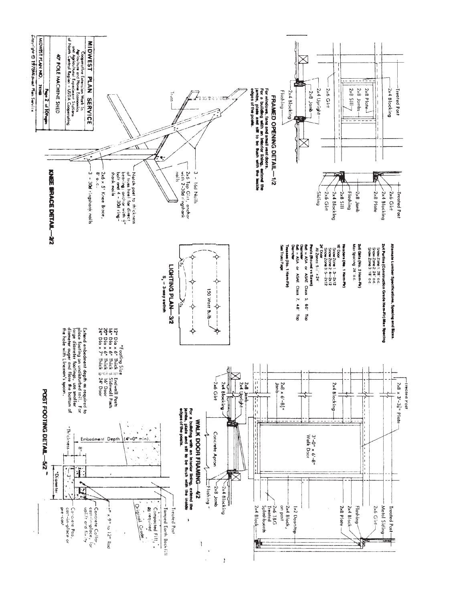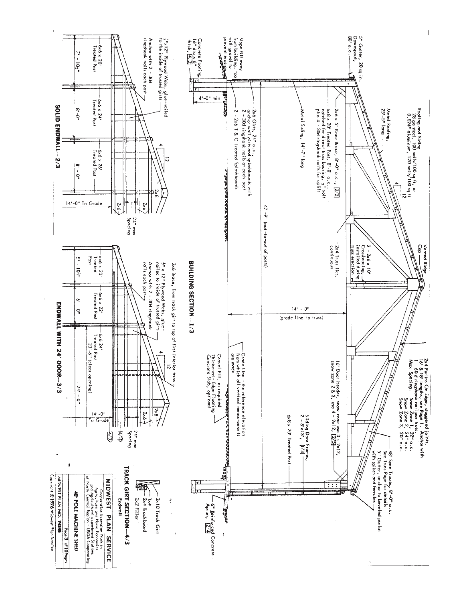

 $\begin{array}{c} \hline \end{array}$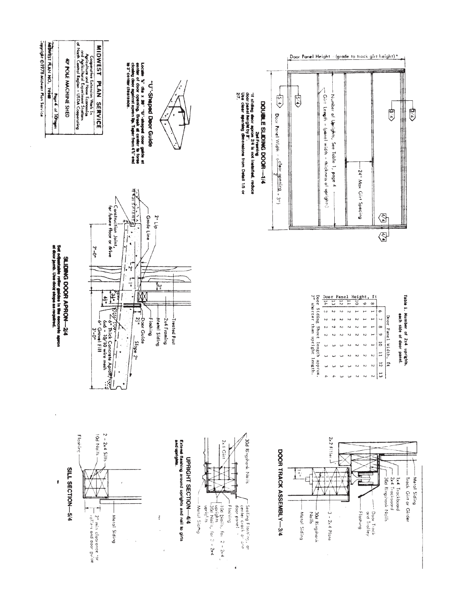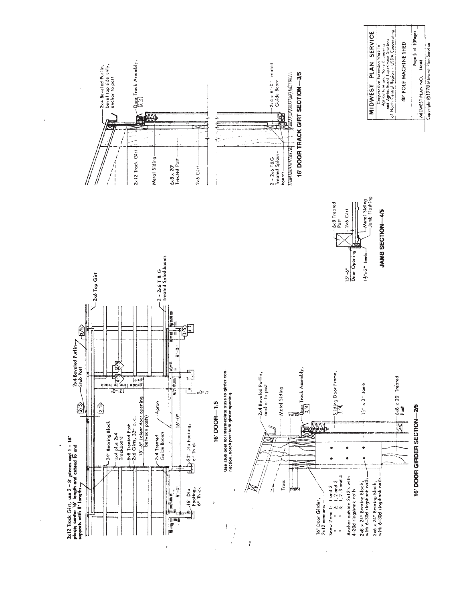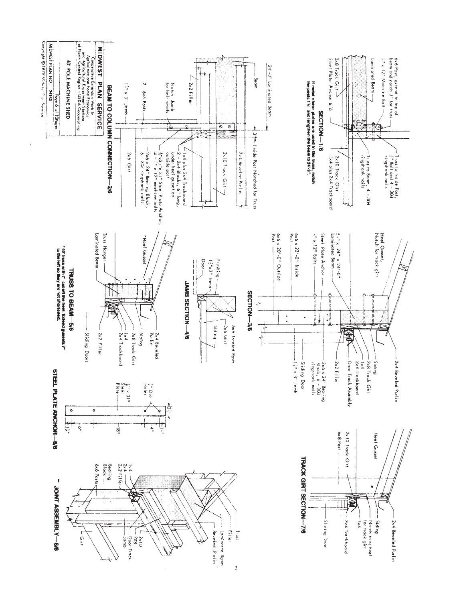![](_page_6_Figure_0.jpeg)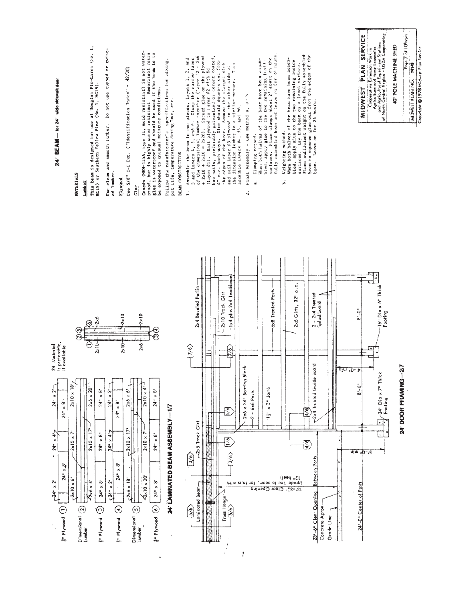![](_page_7_Figure_0.jpeg)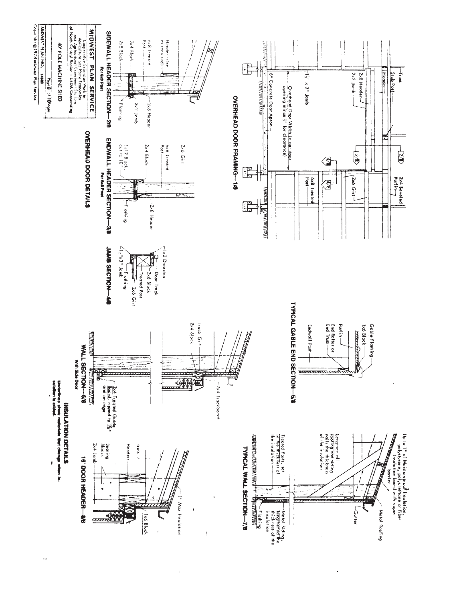![](_page_8_Figure_0.jpeg)

 $\overline{\phantom{a}}$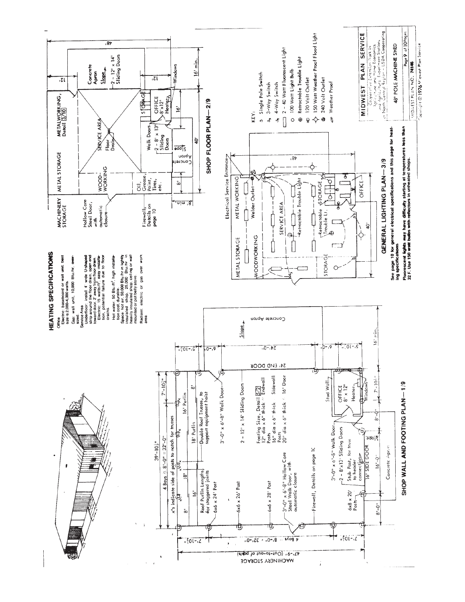![](_page_9_Figure_0.jpeg)